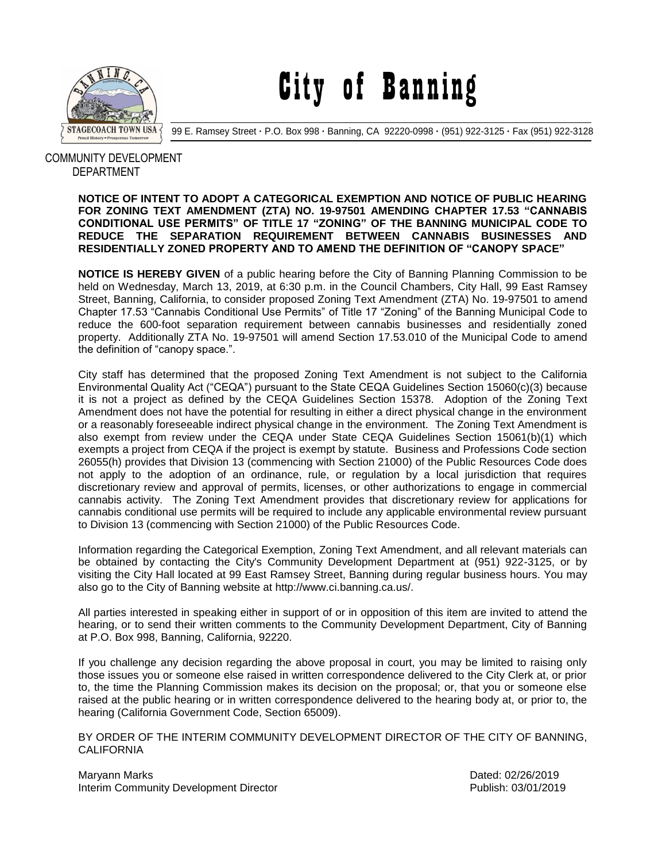

City of Banning

99 E. Ramsey Street **·** P.O. Box 998 **·** Banning, CA 92220-0998 **·** (951) 922-3125 **·** Fax (951) 922-3128

## COMMUNITY DEVELOPMENT DEPARTMENT

## **NOTICE OF INTENT TO ADOPT A CATEGORICAL EXEMPTION AND NOTICE OF PUBLIC HEARING FOR ZONING TEXT AMENDMENT (ZTA) NO. 19-97501 AMENDING CHAPTER 17.53 "CANNABIS CONDITIONAL USE PERMITS" OF TITLE 17 "ZONING" OF THE BANNING MUNICIPAL CODE TO REDUCE THE SEPARATION REQUIREMENT BETWEEN CANNABIS BUSINESSES AND RESIDENTIALLY ZONED PROPERTY AND TO AMEND THE DEFINITION OF "CANOPY SPACE"**

**NOTICE IS HEREBY GIVEN** of a public hearing before the City of Banning Planning Commission to be held on Wednesday, March 13, 2019, at 6:30 p.m. in the Council Chambers, City Hall, 99 East Ramsey Street, Banning, California, to consider proposed Zoning Text Amendment (ZTA) No. 19-97501 to amend Chapter 17.53 "Cannabis Conditional Use Permits" of Title 17 "Zoning" of the Banning Municipal Code to reduce the 600-foot separation requirement between cannabis businesses and residentially zoned property. Additionally ZTA No. 19-97501 will amend Section 17.53.010 of the Municipal Code to amend the definition of "canopy space.".

City staff has determined that the proposed Zoning Text Amendment is not subject to the California Environmental Quality Act ("CEQA") pursuant to the State CEQA Guidelines Section 15060(c)(3) because it is not a project as defined by the CEQA Guidelines Section 15378. Adoption of the Zoning Text Amendment does not have the potential for resulting in either a direct physical change in the environment or a reasonably foreseeable indirect physical change in the environment. The Zoning Text Amendment is also exempt from review under the CEQA under State CEQA Guidelines Section 15061(b)(1) which exempts a project from CEQA if the project is exempt by statute. Business and Professions Code section 26055(h) provides that Division 13 (commencing with Section 21000) of the Public Resources Code does not apply to the adoption of an ordinance, rule, or regulation by a local jurisdiction that requires discretionary review and approval of permits, licenses, or other authorizations to engage in commercial cannabis activity. The Zoning Text Amendment provides that discretionary review for applications for cannabis conditional use permits will be required to include any applicable environmental review pursuant to Division 13 (commencing with Section 21000) of the Public Resources Code.

Information regarding the Categorical Exemption, Zoning Text Amendment, and all relevant materials can be obtained by contacting the City's Community Development Department at (951) 922-3125, or by visiting the City Hall located at 99 East Ramsey Street, Banning during regular business hours. You may also go to the City of Banning website at http://www.ci.banning.ca.us/.

All parties interested in speaking either in support of or in opposition of this item are invited to attend the hearing, or to send their written comments to the Community Development Department, City of Banning at P.O. Box 998, Banning, California, 92220.

If you challenge any decision regarding the above proposal in court, you may be limited to raising only those issues you or someone else raised in written correspondence delivered to the City Clerk at, or prior to, the time the Planning Commission makes its decision on the proposal; or, that you or someone else raised at the public hearing or in written correspondence delivered to the hearing body at, or prior to, the hearing (California Government Code, Section 65009).

BY ORDER OF THE INTERIM COMMUNITY DEVELOPMENT DIRECTOR OF THE CITY OF BANNING, **CALIFORNIA** 

Maryann Marks **Dated: 02/26/2019** Interim Community Development Director **Publish: 03/01/2019** Publish: 03/01/2019